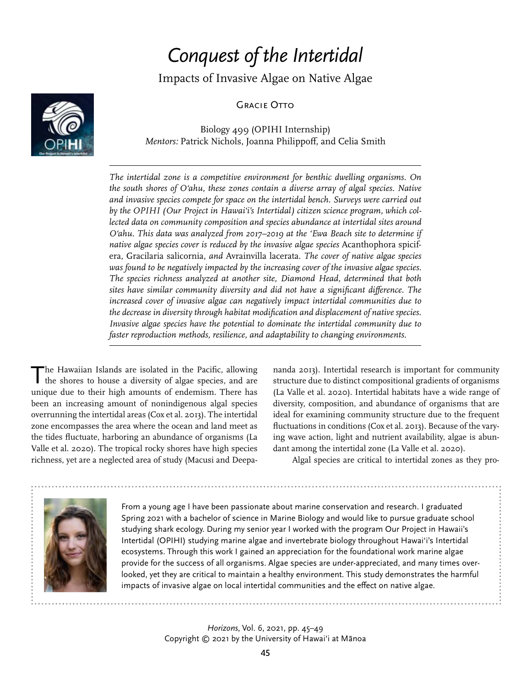# *Conquest of the Intertidal*

Impacts of Invasive Algae on Native Algae

**GRACIE OTTO** 



Biology 499 (OPIHI Internship) *Mentors:* Patrick Nichols, Joanna Philippoff, and Celia Smith

*The intertidal zone is a competitive environment for benthic dwelling organisms. On the south shores of Oʻahu, these zones contain a diverse array of algal species. Native and invasive species compete for space on the intertidal bench. Surveys were carried out by the OPIHI (Our Project in Hawaiʻi's Intertidal) citizen science program, which collected data on community composition and species abundance at intertidal sites around Oʻahu. This data was analyzed from 2017–2019 at the 'Ewa Beach site to determine if native algae species cover is reduced by the invasive algae species* Acanthophora spicifera, Gracilaria salicornia, *and* Avrainvilla lacerata. *The cover of native algae species was found to be negatively impacted by the increasing cover of the invasive algae species. The species richness analyzed at another site, Diamond Head, determined that both sites have similar community diversity and did not have a significant difference. The increased cover of invasive algae can negatively impact intertidal communities due to the decrease in diversity through habitat modification and displacement of native species. Invasive algae species have the potential to dominate the intertidal community due to faster reproduction methods, resilience, and adaptability to changing environments.*

The Hawaiian Islands are isolated in the Pacific, allowing the shores to house a diversity of algae species, and are unique due to their high amounts of endemism. There has been an increasing amount of nonindigenous algal species overrunning the intertidal areas (Cox et al. 2013). The intertidal zone encompasses the area where the ocean and land meet as the tides fluctuate, harboring an abundance of organisms (La Valle et al. 2020). The tropical rocky shores have high species richness, yet are a neglected area of study (Macusi and Deepananda 2013). Intertidal research is important for community structure due to distinct compositional gradients of organisms (La Valle et al. 2020). Intertidal habitats have a wide range of diversity, composition, and abundance of organisms that are ideal for examining community structure due to the frequent fluctuations in conditions (Cox et al. 2013). Because of the varying wave action, light and nutrient availability, algae is abundant among the intertidal zone (La Valle et al. 2020).

Algal species are critical to intertidal zones as they pro-



From a young age I have been passionate about marine conservation and research. I graduated Spring 2021 with a bachelor of science in Marine Biology and would like to pursue graduate school studying shark ecology. During my senior year I worked with the program Our Project in Hawaii's Intertidal (OPIHI) studying marine algae and invertebrate biology throughout Hawai'i's Intertidal ecosystems. Through this work I gained an appreciation for the foundational work marine algae provide for the success of all organisms. Algae species are under-appreciated, and many times overlooked, yet they are critical to maintain a healthy environment. This study demonstrates the harmful impacts of invasive algae on local intertidal communities and the effect on native algae.

> *Horizons*, Vol. 6, 2021, pp. 45–49 Copyright © 2021 by the University of Hawaiʻi at Mānoa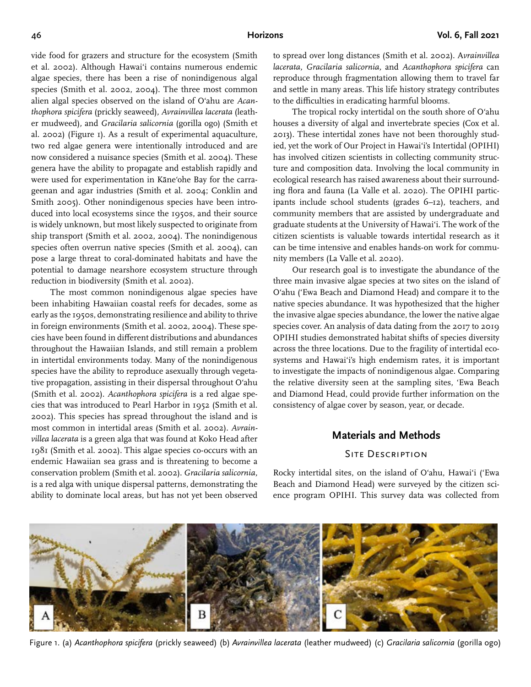vide food for grazers and structure for the ecosystem (Smith et al. 2002). Although Hawaiʻi contains numerous endemic algae species, there has been a rise of nonindigenous algal species (Smith et al. 2002, 2004). The three most common alien algal species observed on the island of Oʻahu are *Acanthophora spicifera* (prickly seaweed)*, Avrainvillea lacerata* (leather mudweed)*,* and *Gracilaria salicornia* (gorilla ogo) (Smith et al. 2002) (Figure 1). As a result of experimental aquaculture, two red algae genera were intentionally introduced and are now considered a nuisance species (Smith et al. 2004). These genera have the ability to propagate and establish rapidly and were used for experimentation in Kāneʻohe Bay for the carrageenan and agar industries (Smith et al. 2004; Conklin and Smith 2005). Other nonindigenous species have been introduced into local ecosystems since the 1950s, and their source is widely unknown, but most likely suspected to originate from ship transport (Smith et al. 2002, 2004). The nonindigenous species often overrun native species (Smith et al. 2004), can pose a large threat to coral-dominated habitats and have the potential to damage nearshore ecosystem structure through reduction in biodiversity (Smith et al. 2002).

The most common nonindigenous algae species have been inhabiting Hawaiian coastal reefs for decades, some as early as the 1950s, demonstrating resilience and ability to thrive in foreign environments (Smith et al. 2002, 2004). These species have been found in different distributions and abundances throughout the Hawaiian Islands, and still remain a problem in intertidal environments today. Many of the nonindigenous species have the ability to reproduce asexually through vegetative propagation, assisting in their dispersal throughout Oʻahu (Smith et al. 2002). *Acanthophora spicifera* is a red algae species that was introduced to Pearl Harbor in 1952 (Smith et al. 2002). This species has spread throughout the island and is most common in intertidal areas (Smith et al. 2002). *Avrainvillea lacerata* is a green alga that was found at Koko Head after 1981 (Smith et al. 2002). This algae species co-occurs with an endemic Hawaiian sea grass and is threatening to become a conservation problem (Smith et al. 2002). *Gracilaria salicornia,* is a red alga with unique dispersal patterns, demonstrating the ability to dominate local areas, but has not yet been observed

to spread over long distances (Smith et al. 2002). A*vrainvillea lacerata, Gracilaria salicornia,* and *Acanthophora spicifera* can reproduce through fragmentation allowing them to travel far and settle in many areas. This life history strategy contributes to the difficulties in eradicating harmful blooms.

The tropical rocky intertidal on the south shore of Oʻahu houses a diversity of algal and invertebrate species (Cox et al. 2013). These intertidal zones have not been thoroughly studied, yet the work of Our Project in Hawaiʻi's Intertidal (OPIHI) has involved citizen scientists in collecting community structure and composition data. Involving the local community in ecological research has raised awareness about their surrounding flora and fauna (La Valle et al. 2020). The OPIHI participants include school students (grades 6–12), teachers, and community members that are assisted by undergraduate and graduate students at the University of Hawaiʻi. The work of the citizen scientists is valuable towards intertidal research as it can be time intensive and enables hands-on work for community members (La Valle et al. 2020).

Our research goal is to investigate the abundance of the three main invasive algae species at two sites on the island of Oʻahu ('Ewa Beach and Diamond Head) and compare it to the native species abundance. It was hypothesized that the higher the invasive algae species abundance, the lower the native algae species cover. An analysis of data dating from the 2017 to 2019 OPIHI studies demonstrated habitat shifts of species diversity across the three locations. Due to the fragility of intertidal ecosystems and Hawaiʻi's high endemism rates, it is important to investigate the impacts of nonindigenous algae. Comparing the relative diversity seen at the sampling sites, 'Ewa Beach and Diamond Head, could provide further information on the consistency of algae cover by season, year, or decade.

### **Materials and Methods**

# SITE DESCRIPTION

Rocky intertidal sites, on the island of Oʻahu, Hawaiʻi ('Ewa Beach and Diamond Head) were surveyed by the citizen science program OPIHI. This survey data was collected from



Figure 1. (a) *Acanthophora spicifera* (prickly seaweed) (b) *Avrainvillea lacerata* (leather mudweed) (c) *Gracilaria salicornia* (gorilla ogo)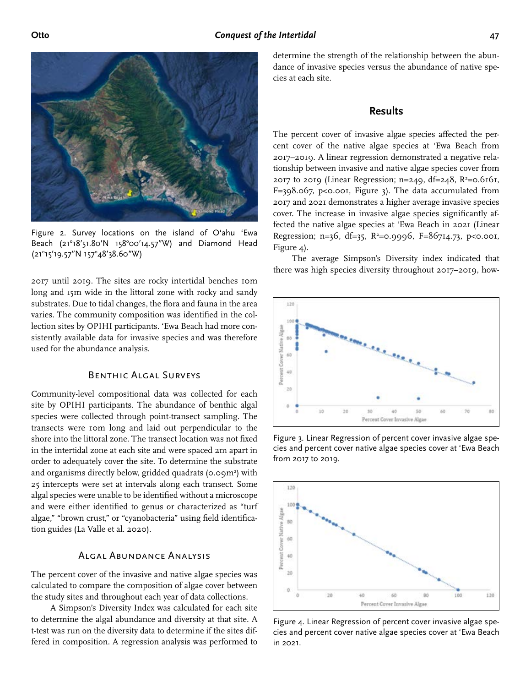

Figure 2. Survey locations on the island of Oʻahu 'Ewa Beach (21°18'51.80'N 158°00'14.57"W) and Diamond Head (21°15'19.57"N 157°48'38.60"W)

2017 until 2019. The sites are rocky intertidal benches 10m long and 15m wide in the littoral zone with rocky and sandy substrates. Due to tidal changes, the flora and fauna in the area varies. The community composition was identified in the collection sites by OPIHI participants. 'Ewa Beach had more consistently available data for invasive species and was therefore used for the abundance analysis.

#### Benthic Algal Surveys

Community-level compositional data was collected for each site by OPIHI participants. The abundance of benthic algal species were collected through point-transect sampling. The transects were 10m long and laid out perpendicular to the shore into the littoral zone. The transect location was not fixed in the intertidal zone at each site and were spaced 2m apart in order to adequately cover the site. To determine the substrate and organisms directly below, gridded quadrats (0.09m<sup>2</sup>) with 25 intercepts were set at intervals along each transect. Some algal species were unable to be identified without a microscope and were either identified to genus or characterized as "turf algae," "brown crust," or "cyanobacteria" using field identification guides (La Valle et al. 2020).

### Algal Abundance Analysis

The percent cover of the invasive and native algae species was calculated to compare the composition of algae cover between the study sites and throughout each year of data collections.

A Simpson's Diversity Index was calculated for each site to determine the algal abundance and diversity at that site. A t-test was run on the diversity data to determine if the sites differed in composition. A regression analysis was performed to

determine the strength of the relationship between the abundance of invasive species versus the abundance of native species at each site.

#### **Results**

The percent cover of invasive algae species affected the percent cover of the native algae species at 'Ewa Beach from 2017–2019. A linear regression demonstrated a negative relationship between invasive and native algae species cover from 2017 to 2019 (Linear Regression; n=249, df=248, R<sup>2</sup>=0.6161, F=398.067, p<0.001, Figure 3). The data accumulated from 2017 and 2021 demonstrates a higher average invasive species cover. The increase in invasive algae species significantly affected the native algae species at 'Ewa Beach in 2021 (Linear Regression; n=36, df=35, R<sup>2</sup>=0.9996, F=86714.73, p<0.001, Figure 4).

The average Simpson's Diversity index indicated that there was high species diversity throughout 2017–2019, how-



Figure 3. Linear Regression of percent cover invasive algae species and percent cover native algae species cover at 'Ewa Beach from 2017 to 2019.



Figure 4. Linear Regression of percent cover invasive algae species and percent cover native algae species cover at 'Ewa Beach in 2021.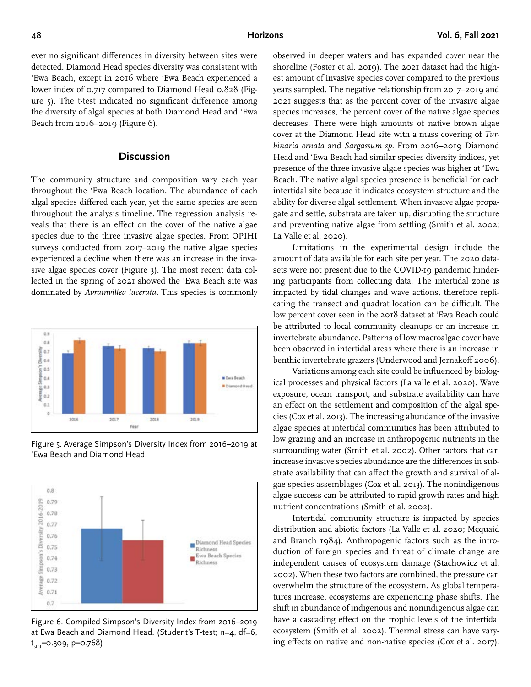ever no significant differences in diversity between sites were detected. Diamond Head species diversity was consistent with 'Ewa Beach, except in 2016 where 'Ewa Beach experienced a lower index of 0.717 compared to Diamond Head 0.828 (Figure 5). The t-test indicated no significant difference among the diversity of algal species at both Diamond Head and 'Ewa Beach from 2016–2019 (Figure 6).

#### **Discussion**

The community structure and composition vary each year throughout the 'Ewa Beach location. The abundance of each algal species differed each year, yet the same species are seen throughout the analysis timeline. The regression analysis reveals that there is an effect on the cover of the native algae species due to the three invasive algae species. From OPIHI surveys conducted from 2017–2019 the native algae species experienced a decline when there was an increase in the invasive algae species cover (Figure 3). The most recent data collected in the spring of 2021 showed the 'Ewa Beach site was dominated by *Avrainvillea lacerata.* This species is commonly



Figure 5. Average Simpson's Diversity Index from 2016–2019 at 'Ewa Beach and Diamond Head.



Figure 6. Compiled Simpson's Diversity Index from 2016–2019 at Ewa Beach and Diamond Head. (Student's T-test; n=4, df=6, t<sub>stat</sub>=0.309, p=0.768)

observed in deeper waters and has expanded cover near the shoreline (Foster et al. 2019). The 2021 dataset had the highest amount of invasive species cover compared to the previous years sampled. The negative relationship from 2017–2019 and 2021 suggests that as the percent cover of the invasive algae species increases, the percent cover of the native algae species decreases. There were high amounts of native brown algae cover at the Diamond Head site with a mass covering of *Turbinaria ornata* and *Sargassum sp.* From 2016–2019 Diamond Head and 'Ewa Beach had similar species diversity indices, yet presence of the three invasive algae species was higher at 'Ewa Beach. The native algal species presence is beneficial for each intertidal site because it indicates ecosystem structure and the ability for diverse algal settlement. When invasive algae propagate and settle, substrata are taken up, disrupting the structure and preventing native algae from settling (Smith et al. 2002; La Valle et al. 2020).

Limitations in the experimental design include the amount of data available for each site per year. The 2020 datasets were not present due to the COVID-19 pandemic hindering participants from collecting data. The intertidal zone is impacted by tidal changes and wave actions, therefore replicating the transect and quadrat location can be difficult. The low percent cover seen in the 2018 dataset at 'Ewa Beach could be attributed to local community cleanups or an increase in invertebrate abundance. Patterns of low macroalgae cover have been observed in intertidal areas where there is an increase in benthic invertebrate grazers (Underwood and Jernakoff 2006).

Variations among each site could be influenced by biological processes and physical factors (La valle et al. 2020). Wave exposure, ocean transport, and substrate availability can have an effect on the settlement and composition of the algal species (Cox et al. 2013). The increasing abundance of the invasive algae species at intertidal communities has been attributed to low grazing and an increase in anthropogenic nutrients in the surrounding water (Smith et al. 2002). Other factors that can increase invasive species abundance are the differences in substrate availability that can affect the growth and survival of algae species assemblages (Cox et al. 2013). The nonindigenous algae success can be attributed to rapid growth rates and high nutrient concentrations (Smith et al. 2002).

Intertidal community structure is impacted by species distribution and abiotic factors (La Valle et al. 2020; Mcquaid and Branch 1984). Anthropogenic factors such as the introduction of foreign species and threat of climate change are independent causes of ecosystem damage (Stachowicz et al. 2002). When these two factors are combined, the pressure can overwhelm the structure of the ecosystem. As global temperatures increase, ecosystems are experiencing phase shifts. The shift in abundance of indigenous and nonindigenous algae can have a cascading effect on the trophic levels of the intertidal ecosystem (Smith et al. 2002). Thermal stress can have varying effects on native and non-native species (Cox et al. 2017).